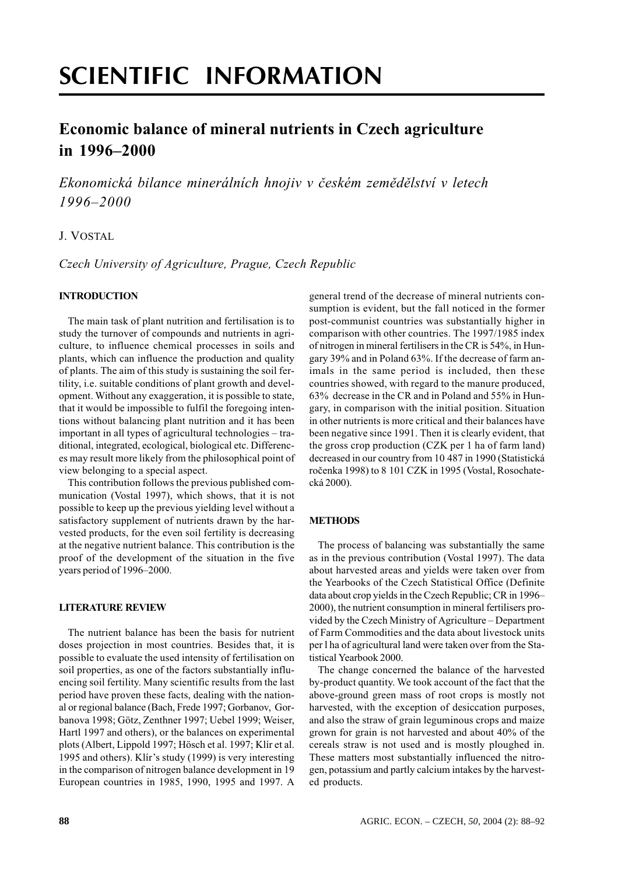# **SCIENTIFIC INFORMATION**

# Economic balance of mineral nutrients in Czech agriculture in  $1996 - 2000$

Ekonomická bilance minerálních hnojiv v českém zemědělství v letech  $1996 - 2000$ 

# J. VOSTAL

Czech University of Agriculture, Prague, Czech Republic

## **INTRODUCTION**

The main task of plant nutrition and fertilisation is to study the turnover of compounds and nutrients in agriculture, to influence chemical processes in soils and plants, which can influence the production and quality of plants. The aim of this study is sustaining the soil fertility, i.e. suitable conditions of plant growth and development. Without any exaggeration, it is possible to state, that it would be impossible to fulfil the foregoing intentions without balancing plant nutrition and it has been important in all types of agricultural technologies – traditional, integrated, ecological, biological etc. Differences may result more likely from the philosophical point of view belonging to a special aspect.

This contribution follows the previous published communication (Vostal 1997), which shows, that it is not possible to keep up the previous vielding level without a satisfactory supplement of nutrients drawn by the harvested products, for the even soil fertility is decreasing at the negative nutrient balance. This contribution is the proof of the development of the situation in the five years period of 1996–2000.

#### **LITERATURE REVIEW**

The nutrient balance has been the basis for nutrient doses projection in most countries. Besides that, it is possible to evaluate the used intensity of fertilisation on soil properties, as one of the factors substantially influencing soil fertility. Many scientific results from the last period have proven these facts, dealing with the national or regional balance (Bach, Frede 1997; Gorbanov, Gorbanova 1998; Götz, Zenthner 1997; Uebel 1999; Weiser, Hartl 1997 and others), or the balances on experimental plots (Albert, Lippold 1997; Hösch et al. 1997; Klír et al. 1995 and others). Klir's study (1999) is very interesting in the comparison of nitrogen balance development in 19 European countries in 1985, 1990, 1995 and 1997. A

general trend of the decrease of mineral nutrients consumption is evident, but the fall noticed in the former post-communist countries was substantially higher in comparison with other countries. The 1997/1985 index of nitrogen in mineral fertilisers in the CR is 54%, in Hungary 39% and in Poland 63%. If the decrease of farm animals in the same period is included, then these countries showed, with regard to the manure produced, 63% decrease in the CR and in Poland and 55% in Hungary, in comparison with the initial position. Situation in other nutrients is more critical and their balances have been negative since 1991. Then it is clearly evident, that the gross crop production (CZK per 1 ha of farm land) decreased in our country from 10 487 in 1990 (Statistická ročenka 1998) to 8 101 CZK in 1995 (Vostal, Rosochatecká 2000).

## **METHODS**

The process of balancing was substantially the same as in the previous contribution (Vostal 1997). The data about harvested areas and yields were taken over from the Yearbooks of the Czech Statistical Office (Definite data about crop vields in the Czech Republic: CR in 1996– 2000), the nutrient consumption in mineral fertilisers provided by the Czech Ministry of Agriculture – Department of Farm Commodities and the data about livestock units per l ha of agricultural land were taken over from the Statistical Yearbook 2000.

The change concerned the balance of the harvested by-product quantity. We took account of the fact that the above-ground green mass of root crops is mostly not harvested, with the exception of desiccation purposes, and also the straw of grain leguminous crops and maize grown for grain is not harvested and about 40% of the cereals straw is not used and is mostly ploughed in. These matters most substantially influenced the nitrogen, potassium and partly calcium intakes by the harvested products.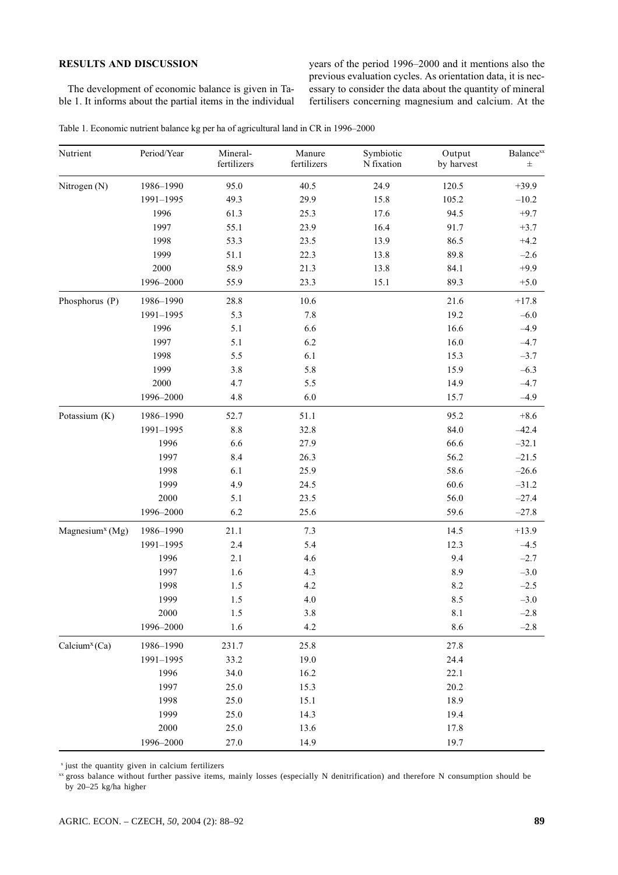# **RESULTS AND DISCUSSION**

The development of economic balance is given in Table 1. It informs about the partial items in the individual years of the period 1996–2000 and it mentions also the previous evaluation cycles. As orientation data, it is necessary to consider the data about the quantity of mineral fertilisers concerning magnesium and calcium. At the

Table 1. Economic nutrient balance kg per ha of agricultural land in CR in 1996-2000

| Nutrient                                 | Period/Year | Mineral-<br>fertilizers | Manure<br>fertilizers | Symbiotic<br>N fixation | Output<br>by harvest | <b>Balance</b> xx<br>$\pm$ |
|------------------------------------------|-------------|-------------------------|-----------------------|-------------------------|----------------------|----------------------------|
| Nitrogen (N)                             | 1986-1990   | 95.0                    | 40.5                  | 24.9                    | 120.5                | $+39.9$                    |
|                                          | 1991-1995   | 49.3                    | 29.9                  | 15.8                    | 105.2                | $-10.2$                    |
|                                          | 1996        | 61.3                    | 25.3                  | 17.6                    | 94.5                 | $+9.7$                     |
|                                          | 1997        | 55.1                    | 23.9                  | 16.4                    | 91.7                 | $+3.7$                     |
|                                          | 1998        | 53.3                    | 23.5                  | 13.9                    | 86.5                 | $+4.2$                     |
|                                          | 1999        | 51.1                    | 22.3                  | 13.8                    | 89.8                 | $-2.6$                     |
|                                          | 2000        | 58.9                    | 21.3                  | 13.8                    | 84.1                 | $+9.9$                     |
|                                          | 1996-2000   | 55.9                    | 23.3                  | 15.1                    | 89.3                 | $+5.0$                     |
| Phosphorus (P)                           | 1986-1990   | 28.8                    | 10.6                  |                         | 21.6                 | $+17.8$                    |
|                                          | 1991-1995   | 5.3                     | 7.8                   |                         | 19.2                 | $-6.0$                     |
|                                          | 1996        | 5.1                     | 6.6                   |                         | 16.6                 | $-4.9$                     |
|                                          | 1997        | 5.1                     | 6.2                   |                         | 16.0                 | $-4.7$                     |
|                                          | 1998        | 5.5                     | 6.1                   |                         | 15.3                 | $-3.7$                     |
|                                          | 1999        | 3.8                     | 5.8                   |                         | 15.9                 | $-6.3$                     |
|                                          | 2000        | 4.7                     | 5.5                   |                         | 14.9                 | $-4.7$                     |
|                                          | 1996-2000   | 4.8                     | 6.0                   |                         | 15.7                 | $-4.9$                     |
| Potassium (K)                            | 1986-1990   | 52.7                    | 51.1                  |                         | 95.2                 | $+8.6$                     |
|                                          | 1991-1995   | $8.8\,$                 | 32.8                  |                         | 84.0                 | $-42.4$                    |
|                                          | 1996        | 6.6                     | 27.9                  |                         | 66.6                 | $-32.1$                    |
|                                          | 1997        | 8.4                     | 26.3                  |                         | 56.2                 | $-21.5$                    |
|                                          | 1998        | 6.1                     | 25.9                  |                         | 58.6                 | $-26.6$                    |
|                                          | 1999        | 4.9                     | 24.5                  |                         | 60.6                 | $-31.2$                    |
|                                          | $2000\,$    | 5.1                     | 23.5                  |                         | 56.0                 | $-27.4$                    |
|                                          | 1996-2000   | 6.2                     | 25.6                  |                         | 59.6                 | $-27.8$                    |
| Magnesium <sup><math>x</math></sup> (Mg) | 1986-1990   | 21.1                    | 7.3                   |                         | 14.5                 | $+13.9$                    |
|                                          | 1991-1995   | 2.4                     | 5.4                   |                         | 12.3                 | $-4.5$                     |
|                                          | 1996        | 2.1                     | 4.6                   |                         | 9.4                  | $-2.7$                     |
|                                          | 1997        | 1.6                     | 4.3                   |                         | 8.9                  | $-3.0$                     |
|                                          | 1998        | 1.5                     | 4.2                   |                         | 8.2                  | $-2.5$                     |
|                                          | 1999        | 1.5                     | 4.0                   |                         | 8.5                  | $-3.0$                     |
|                                          | $2000\,$    | 1.5                     | $3.8\,$               |                         | $8.1\,$              | $-2.8$                     |
|                                          | 1996-2000   | 1.6                     | 4.2                   |                         | 8.6                  | $-2.8$                     |
| Calcium <sup>x</sup> (Ca)                | 1986-1990   | 231.7                   | 25.8                  |                         | 27.8                 |                            |
|                                          | 1991-1995   | 33.2                    | 19.0                  |                         | 24.4                 |                            |
|                                          | 1996        | 34.0                    | 16.2                  |                         | 22.1                 |                            |
|                                          | 1997        | 25.0                    | 15.3                  |                         | 20.2                 |                            |
|                                          | 1998        | 25.0                    | 15.1                  |                         | 18.9                 |                            |
|                                          | 1999        | 25.0                    | 14.3                  |                         | 19.4                 |                            |
|                                          | 2000        | 25.0                    | 13.6                  |                         | 17.8                 |                            |
|                                          | 1996-2000   | 27.0                    | 14.9                  |                         | 19.7                 |                            |

<sup>x</sup> just the quantity given in calcium fertilizers

xx gross balance without further passive items, mainly losses (especially N denitrification) and therefore N consumption should be by 20-25 kg/ha higher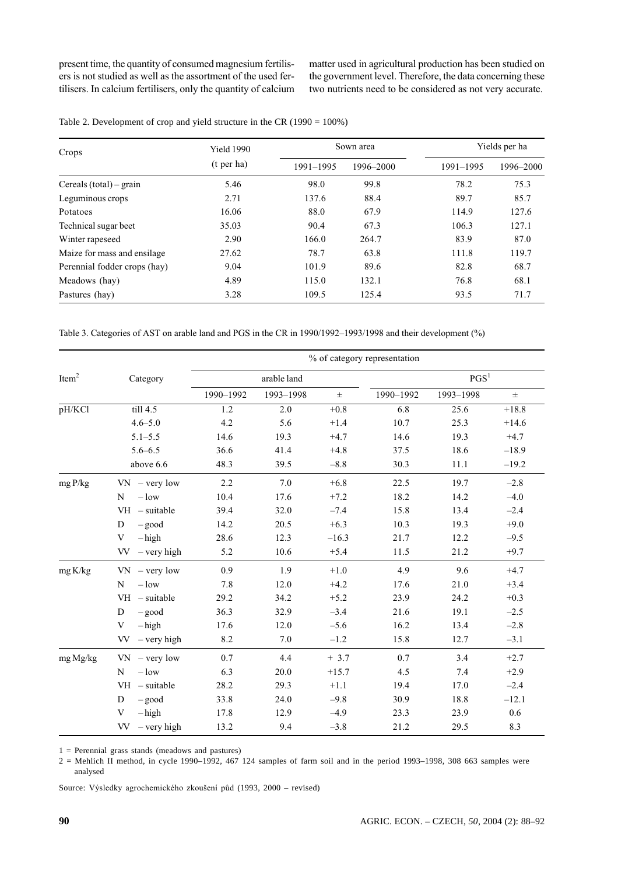present time, the quantity of consumed magnesium fertilisers is not studied as well as the assortment of the used fertilisers. In calcium fertilisers, only the quantity of calcium matter used in agricultural production has been studied on the government level. Therefore, the data concerning these two nutrients need to be considered as not very accurate.

| Crops                        | <b>Yield 1990</b> |           | Sown area |           | Yields per ha |  |  |
|------------------------------|-------------------|-----------|-----------|-----------|---------------|--|--|
|                              | $(t$ per ha)      | 1991-1995 | 1996-2000 | 1991-1995 | 1996-2000     |  |  |
| Cereals (total) – grain      | 5.46              | 98.0      | 99.8      | 78.2      | 75.3          |  |  |
| Leguminous crops             | 2.71              | 137.6     | 88.4      | 89.7      | 85.7          |  |  |
| Potatoes                     | 16.06             | 88.0      | 67.9      | 114.9     | 127.6         |  |  |
| Technical sugar beet         | 35.03             | 90.4      | 67.3      | 106.3     | 127.1         |  |  |
| Winter rapeseed              | 2.90              | 166.0     | 264.7     | 83.9      | 87.0          |  |  |
| Maize for mass and ensilage. | 27.62             | 78.7      | 63.8      | 111.8     | 119.7         |  |  |
| Perennial fodder crops (hay) | 9.04              | 101.9     | 89.6      | 82.8      | 68.7          |  |  |
| Meadows (hay)                | 4.89              | 115.0     | 132.1     | 76.8      | 68.1          |  |  |
| Pastures (hay)               | 3.28              | 109.5     | 125.4     | 93.5      | 71.7          |  |  |

Table 2. Development of crop and yield structure in the CR (1990 =  $100\%$ )

Table 3. Categories of AST on arable land and PGS in the CR in 1990/1992-1993/1998 and their development (%)

|                   |                            | % of category representation |             |         |                  |           |         |  |
|-------------------|----------------------------|------------------------------|-------------|---------|------------------|-----------|---------|--|
| Item <sup>2</sup> | Category                   |                              | arable land |         | PGS <sup>1</sup> |           |         |  |
|                   |                            | 1990-1992                    | 1993-1998   | $\pm$   | 1990-1992        | 1993-1998 | $\pm$   |  |
| pH/KCl            | till 4.5                   | 1.2                          | 2.0         | $+0.8$  | 6.8              | 25.6      | $+18.8$ |  |
|                   | $4.6 - 5.0$                | 4.2                          | 5.6         | $+1.4$  | 10.7             | 25.3      | $+14.6$ |  |
|                   | $5.1 - 5.5$                | 14.6                         | 19.3        | $+4.7$  | 14.6             | 19.3      | $+4.7$  |  |
|                   | $5.6 - 6.5$                | 36.6                         | 41.4        | $+4.8$  | 37.5             | 18.6      | $-18.9$ |  |
|                   | above 6.6                  | 48.3                         | 39.5        | $-8.8$  | 30.3             | 11.1      | $-19.2$ |  |
| mgP/kg            | $VN - very low$            | 2.2                          | 7.0         | $+6.8$  | 22.5             | 19.7      | $-2.8$  |  |
|                   | $-$ low<br>N               | 10.4                         | 17.6        | $+7.2$  | 18.2             | 14.2      | $-4.0$  |  |
|                   | $VH - suitable$            | 39.4                         | 32.0        | $-7.4$  | 15.8             | 13.4      | $-2.4$  |  |
|                   | $-\text{good}$<br>D        | 14.2                         | 20.5        | $+6.3$  | 10.3             | 19.3      | $+9.0$  |  |
|                   | V<br>$-\mathrm{high}$      | 28.6                         | 12.3        | $-16.3$ | 21.7             | 12.2      | $-9.5$  |  |
|                   | - very high<br>VV.         | 5.2                          | 10.6        | $+5.4$  | 11.5             | 21.2      | $+9.7$  |  |
| mg K/kg           | $VN - very low$            | 0.9                          | 1.9         | $+1.0$  | 4.9              | 9.6       | $+4.7$  |  |
|                   | $-$ low<br>N               | 7.8                          | 12.0        | $+4.2$  | 17.6             | 21.0      | $+3.4$  |  |
|                   | $VH - suitable$            | 29.2                         | 34.2        | $+5.2$  | 23.9             | 24.2      | $+0.3$  |  |
|                   | D<br>$-\text{good}$        | 36.3                         | 32.9        | $-3.4$  | 21.6             | 19.1      | $-2.5$  |  |
|                   | V<br>$-\mathrm{high}$      | 17.6                         | 12.0        | $-5.6$  | 16.2             | 13.4      | $-2.8$  |  |
|                   | <b>VV</b><br>$-$ very high | 8.2                          | 7.0         | $-1.2$  | 15.8             | 12.7      | $-3.1$  |  |
| mg Mg/kg          | $VN - very low$            | 0.7                          | 4.4         | $+3.7$  | 0.7              | 3.4       | $+2.7$  |  |
|                   | N<br>$-$ low               | 6.3                          | 20.0        | $+15.7$ | 4.5              | 7.4       | $+2.9$  |  |
|                   | $VH - suitable$            | 28.2                         | 29.3        | $+1.1$  | 19.4             | 17.0      | $-2.4$  |  |
|                   | D<br>$-\text{good}$        | 33.8                         | 24.0        | $-9.8$  | 30.9             | 18.8      | $-12.1$ |  |
|                   | V<br>$-\mathrm{high}$      | 17.8                         | 12.9        | $-4.9$  | 23.3             | 23.9      | 0.6     |  |
|                   | $-$ very high<br>VV –      | 13.2                         | 9.4         | $-3.8$  | 21.2             | 29.5      | 8.3     |  |

 $1$  = Perennial grass stands (meadows and pastures)

 $2$  = Mehlich II method, in cycle 1990–1992, 467 124 samples of farm soil and in the period 1993–1998, 308 663 samples were analysed

Source: Výsledky agrochemického zkoušení půd (1993, 2000 – revised)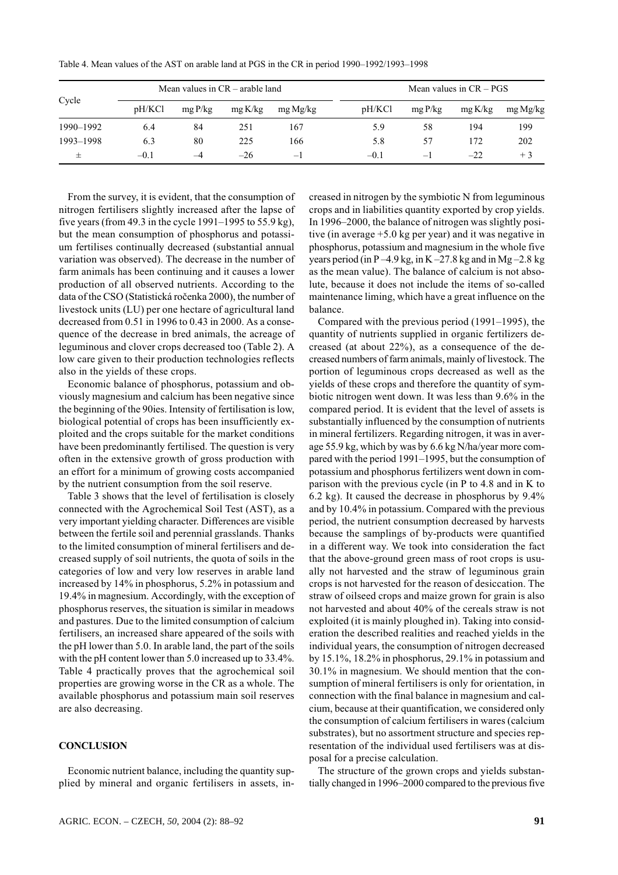| Cycle     | Mean values in $CR$ – arable land |        |         | Mean values in $CR - PGS$ |        |        |        |          |
|-----------|-----------------------------------|--------|---------|---------------------------|--------|--------|--------|----------|
|           | pH/KCl                            | mgP/kg | mg K/kg | mg Mg/kg                  | pH/KCl | mgP/kg | mgK/kg | mg Mg/kg |
| 1990-1992 | 6.4                               | 84     | 251     | 167                       | 5.9    | 58     | 194    | 199      |
| 1993-1998 | 6.3                               | 80     | 225     | 166                       | 5.8    | 57     | 172    | 202      |
|           | $-0.1$                            | $-4$   | $-26$   | $-1$                      | $-0.1$ | $-1$   | $-22$  | $+3$     |

Table 4. Mean values of the AST on arable land at PGS in the CR in period 1990–1992/1993–1998

From the survey, it is evident, that the consumption of nitrogen fertilisers slightly increased after the lapse of five years (from 49.3 in the cycle 1991–1995 to 55.9 kg), but the mean consumption of phosphorus and potassium fertilises continually decreased (substantial annual variation was observed). The decrease in the number of farm animals has been continuing and it causes a lower production of all observed nutrients. According to the data of the CSO (Statistická ročenka 2000), the number of livestock units (LU) per one hectare of agricultural land decreased from 0.51 in 1996 to 0.43 in 2000. As a consequence of the decrease in bred animals, the acreage of leguminous and clover crops decreased too (Table 2). A low care given to their production technologies reflects also in the yields of these crops.

Economic balance of phosphorus, potassium and obviously magnesium and calcium has been negative since the beginning of the 90ies. Intensity of fertilisation is low, biological potential of crops has been insufficiently exploited and the crops suitable for the market conditions have been predominantly fertilised. The question is very often in the extensive growth of gross production with an effort for a minimum of growing costs accompanied by the nutrient consumption from the soil reserve.

Table 3 shows that the level of fertilisation is closely connected with the Agrochemical Soil Test (AST), as a very important yielding character. Differences are visible between the fertile soil and perennial grasslands. Thanks to the limited consumption of mineral fertilisers and decreased supply of soil nutrients, the quota of soils in the categories of low and very low reserves in arable land increased by 14% in phosphorus, 5.2% in potassium and 19.4% in magnesium. Accordingly, with the exception of phosphorus reserves, the situation is similar in meadows and pastures. Due to the limited consumption of calcium fertilisers, an increased share appeared of the soils with the pH lower than 5.0. In arable land, the part of the soils with the pH content lower than 5.0 increased up to 33.4%. Table 4 practically proves that the agrochemical soil properties are growing worse in the CR as a whole. The available phosphorus and potassium main soil reserves are also decreasing.

#### **CONCLUSION**

Economic nutrient balance, including the quantity supplied by mineral and organic fertilisers in assets, increased in nitrogen by the symbiotic N from leguminous crops and in liabilities quantity exported by crop yields. In 1996–2000, the balance of nitrogen was slightly positive (in average  $+5.0$  kg per year) and it was negative in phosphorus, potassium and magnesium in the whole five vears period (in P-4.9 kg, in K-27.8 kg and in Mg-2.8 kg as the mean value). The balance of calcium is not absolute, because it does not include the items of so-called maintenance liming, which have a great influence on the balance.

Compared with the previous period (1991–1995), the quantity of nutrients supplied in organic fertilizers decreased (at about  $22\%$ ), as a consequence of the decreased numbers of farm animals, mainly of livestock. The portion of leguminous crops decreased as well as the vields of these crops and therefore the quantity of symbiotic nitrogen went down. It was less than 9.6% in the compared period. It is evident that the level of assets is substantially influenced by the consumption of nutrients in mineral fertilizers. Regarding nitrogen, it was in average 55.9 kg, which by was by 6.6 kg N/ha/year more compared with the period 1991–1995, but the consumption of potassium and phosphorus fertilizers went down in comparison with the previous cycle (in P to 4.8 and in K to  $6.2 \text{ kg}$ ). It caused the decrease in phosphorus by 9.4% and by 10.4% in potassium. Compared with the previous period, the nutrient consumption decreased by harvests because the samplings of by-products were quantified in a different way. We took into consideration the fact that the above-ground green mass of root crops is usually not harvested and the straw of leguminous grain crops is not harvested for the reason of desiccation. The straw of oilseed crops and maize grown for grain is also not harvested and about 40% of the cereals straw is not exploited (it is mainly ploughed in). Taking into consideration the described realities and reached yields in the individual years, the consumption of nitrogen decreased by 15.1%, 18.2% in phosphorus, 29.1% in potassium and 30.1% in magnesium. We should mention that the consumption of mineral fertilisers is only for orientation, in connection with the final balance in magnesium and calcium, because at their quantification, we considered only the consumption of calcium fertilisers in wares (calcium substrates), but no assortment structure and species representation of the individual used fertilisers was at disposal for a precise calculation.

The structure of the grown crops and yields substantially changed in 1996–2000 compared to the previous five